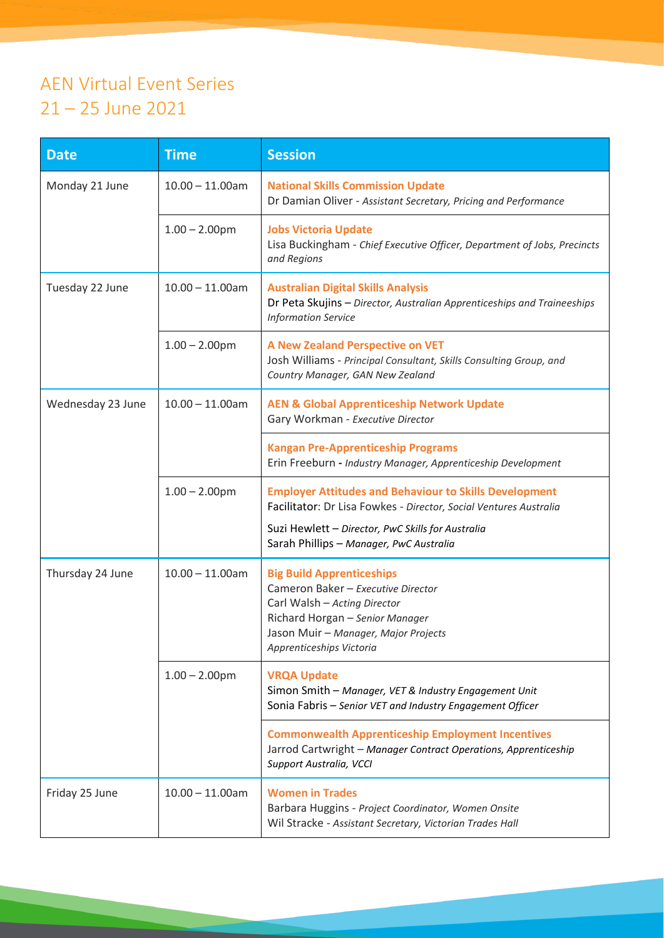## AEN Virtual Event Series 21 – 25 June 2021

| <b>Date</b>       | <b>Time</b>        | <b>Session</b>                                                                                                                                                                                                                     |
|-------------------|--------------------|------------------------------------------------------------------------------------------------------------------------------------------------------------------------------------------------------------------------------------|
| Monday 21 June    | $10.00 - 11.00$ am | <b>National Skills Commission Update</b><br>Dr Damian Oliver - Assistant Secretary, Pricing and Performance                                                                                                                        |
|                   | $1.00 - 2.00$ pm   | <b>Jobs Victoria Update</b><br>Lisa Buckingham - Chief Executive Officer, Department of Jobs, Precincts<br>and Regions                                                                                                             |
| Tuesday 22 June   | $10.00 - 11.00$ am | <b>Australian Digital Skills Analysis</b><br>Dr Peta Skujins - Director, Australian Apprenticeships and Traineeships<br><b>Information Service</b>                                                                                 |
|                   | $1.00 - 2.00$ pm   | <b>A New Zealand Perspective on VET</b><br>Josh Williams - Principal Consultant, Skills Consulting Group, and<br>Country Manager, GAN New Zealand                                                                                  |
| Wednesday 23 June | $10.00 - 11.00$ am | <b>AEN &amp; Global Apprenticeship Network Update</b><br>Gary Workman - Executive Director                                                                                                                                         |
|                   |                    | <b>Kangan Pre-Apprenticeship Programs</b><br>Erin Freeburn - Industry Manager, Apprenticeship Development                                                                                                                          |
|                   | $1.00 - 2.00$ pm   | <b>Employer Attitudes and Behaviour to Skills Development</b><br>Facilitator: Dr Lisa Fowkes - Director, Social Ventures Australia<br>Suzi Hewlett - Director, PwC Skills for Australia<br>Sarah Phillips - Manager, PwC Australia |
| Thursday 24 June  | $10.00 - 11.00$ am | <b>Big Build Apprenticeships</b><br>Cameron Baker - Executive Director<br>Carl Walsh - Acting Director<br>Richard Horgan - Senior Manager<br>Jason Muir - Manager, Major Projects<br>Apprenticeships Victoria                      |
|                   | $1.00 - 2.00$ pm   | <b>VRQA Update</b><br>Simon Smith - Manager, VET & Industry Engagement Unit<br>Sonia Fabris - Senior VET and Industry Engagement Officer                                                                                           |
|                   |                    | <b>Commonwealth Apprenticeship Employment Incentives</b><br>Jarrod Cartwright - Manager Contract Operations, Apprenticeship<br>Support Australia, VCCI                                                                             |
| Friday 25 June    | $10.00 - 11.00$ am | <b>Women in Trades</b><br>Barbara Huggins - Project Coordinator, Women Onsite<br>Wil Stracke - Assistant Secretary, Victorian Trades Hall                                                                                          |